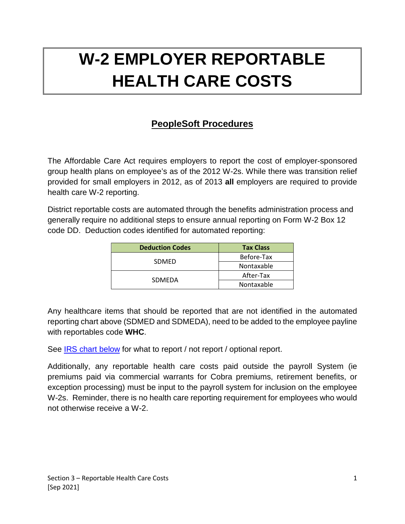## **W-2 EMPLOYER REPORTABLE HEALTH CARE COSTS**

## **PeopleSoft Procedures**

The Affordable Care Act requires employers to report the cost of employer-sponsored group health plans on employee's as of the 2012 W-2s. While there was transition relief provided for small employers in 2012, as of 2013 **all** employers are required to provide health care W-2 reporting.

District reportable costs are automated through the benefits administration process and generally require no additional steps to ensure annual reporting on Form W-2 Box 12 code DD. Deduction codes identified for automated reporting:

| <b>Deduction Codes</b> | <b>Tax Class</b> |  |  |
|------------------------|------------------|--|--|
| <b>SDMED</b>           | Before-Tax       |  |  |
|                        | Nontaxable       |  |  |
| <b>SDMEDA</b>          | After-Tax        |  |  |
|                        | Nontaxable       |  |  |

Any healthcare items that should be reported that are not identified in the automated reporting chart above (SDMED and SDMEDA), need to be added to the employee payline with reportables code **WHC**.

See [IRS chart below](#page-1-0) for what to report / not report / optional report.

Additionally, any reportable health care costs paid outside the payroll System (ie premiums paid via commercial warrants for Cobra premiums, retirement benefits, or exception processing) must be input to the payroll system for inclusion on the employee W-2s. Reminder, there is no health care reporting requirement for employees who would not otherwise receive a W-2.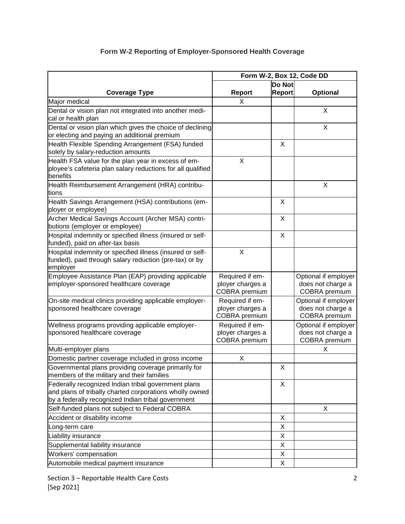## **Form W-2 Reporting of Employer-Sponsored Health Coverage**

<span id="page-1-0"></span>

|                                                                                                                                                                      | Form W-2, Box 12, Code DD                                   |               |                                                                   |  |
|----------------------------------------------------------------------------------------------------------------------------------------------------------------------|-------------------------------------------------------------|---------------|-------------------------------------------------------------------|--|
|                                                                                                                                                                      |                                                             | Do Not        |                                                                   |  |
| <b>Coverage Type</b>                                                                                                                                                 | <b>Report</b>                                               | <b>Report</b> | <b>Optional</b>                                                   |  |
| Major medical                                                                                                                                                        | X                                                           |               |                                                                   |  |
| Dental or vision plan not integrated into another medi-<br>cal or health plan                                                                                        |                                                             |               | X                                                                 |  |
| Dental or vision plan which gives the choice of declining<br>or electing and paying an additional premium                                                            |                                                             |               | X                                                                 |  |
| Health Flexible Spending Arrangement (FSA) funded<br>solely by salary-reduction amounts                                                                              |                                                             | X             |                                                                   |  |
| Health FSA value for the plan year in excess of em-<br>ployee's cafeteria plan salary reductions for all qualified<br>benefits                                       | X                                                           |               |                                                                   |  |
| Health Reimbursement Arrangement (HRA) contribu-<br>tions                                                                                                            |                                                             |               | X                                                                 |  |
| Health Savings Arrangement (HSA) contributions (em-<br>ployer or employee)                                                                                           |                                                             | X             |                                                                   |  |
| Archer Medical Savings Account (Archer MSA) contri-<br>butions (employer or employee)                                                                                |                                                             | X             |                                                                   |  |
| Hospital indemnity or specified illness (insured or self-<br>funded), paid on after-tax basis                                                                        |                                                             | X             |                                                                   |  |
| Hospital indemnity or specified illness (insured or self-<br>funded), paid through salary reduction (pre-tax) or by<br>employer                                      | X                                                           |               |                                                                   |  |
| Employee Assistance Plan (EAP) providing applicable<br>employer-sponsored healthcare coverage                                                                        | Required if em-<br>ployer charges a<br><b>COBRA</b> premium |               | Optional if employer<br>does not charge a<br><b>COBRA</b> premium |  |
| On-site medical clinics providing applicable employer-<br>sponsored healthcare coverage                                                                              | Required if em-<br>ployer charges a<br><b>COBRA</b> premium |               | Optional if employer<br>does not charge a<br>COBRA premium        |  |
| Wellness programs providing applicable employer-<br>sponsored healthcare coverage                                                                                    | Required if em-<br>ployer charges a<br><b>COBRA</b> premium |               | Optional if employer<br>does not charge a<br>COBRA premium        |  |
| Multi-employer plans                                                                                                                                                 |                                                             |               | Х                                                                 |  |
| Domestic partner coverage included in gross income                                                                                                                   | X                                                           |               |                                                                   |  |
| Governmental plans providing coverage primarily for<br>members of the military and their families                                                                    |                                                             | X             |                                                                   |  |
| Federally recognized Indian tribal government plans<br>and plans of tribally charted corporations wholly owned<br>by a federally recognized Indian tribal government |                                                             | X             |                                                                   |  |
| Self-funded plans not subject to Federal COBRA                                                                                                                       |                                                             |               | х                                                                 |  |
| Accident or disability income                                                                                                                                        |                                                             | X             |                                                                   |  |
| Long-term care                                                                                                                                                       |                                                             | X             |                                                                   |  |
| Liability insurance                                                                                                                                                  |                                                             | X             |                                                                   |  |
| Supplemental liability insurance                                                                                                                                     |                                                             | X             |                                                                   |  |
| Workers' compensation                                                                                                                                                |                                                             | X             |                                                                   |  |
| Automobile medical payment insurance                                                                                                                                 |                                                             | X             |                                                                   |  |

Section 3 – Reportable Health Care Costs 2 [Sep 2021]